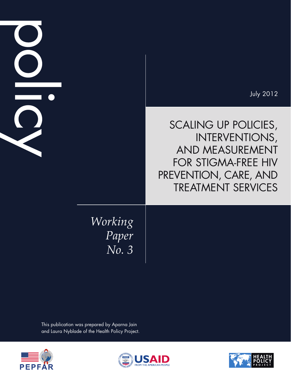|                           | <b>July 2012</b>                                                                                                                                     |
|---------------------------|------------------------------------------------------------------------------------------------------------------------------------------------------|
|                           | SCALING UP POLICIES,<br><b>INTERVENTIONS,</b><br>AND MEASUREMENT<br><b>FOR STIGMA-FREE HIV</b><br>PREVENTION, CARE, AND<br><b>TREATMENT SERVICES</b> |
| Working<br>Paper<br>No. 3 |                                                                                                                                                      |

This publication was prepared by Aparna Jain and Laura Nyblade of the Health Policy Project.





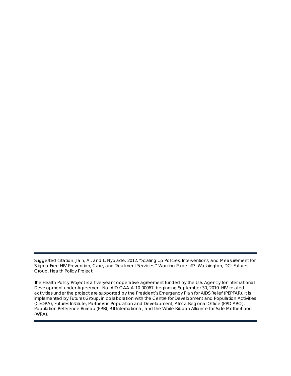Suggested citation: Jain, A., and L. Nyblade. 2012. "Scaling Up Policies, Interventions, and Measurement for Stigma-Free HIV Prevention, Care, and Treatment Services." *Working Paper* #3. Washington, DC: Futures Group, Health Policy Project.

The Health Policy Project is a five-year cooperative agreement funded by the U.S. Agency for International Development under Agreement No. AID-OAA-A-10-00067, beginning September 30, 2010. HIV-related activities under the project are supported by the President's Emergency Plan for AIDS Relief (PEPFAR). It is implemented by Futures Group, in collaboration with the Centre for Development and Population Activities (CEDPA), Futures Institute, Partners in Population and Development, Africa Regional Office (PPD ARO), Population Reference Bureau (PRB), RTI International, and the White Ribbon Alliance for Safe Motherhood (WRA).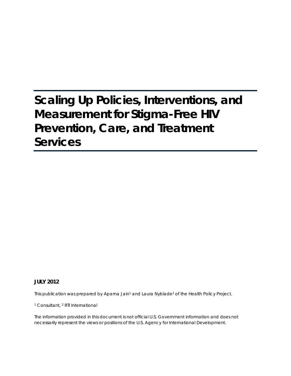# **Scaling Up Policies, Interventions, and Measurement for Stigma-Free HIV Prevention, Care, and Treatment Services**

### **JULY 2012**

This publication was prepared by Aparna Jain<sup>1</sup> and Laura Nyblade<sup>2</sup> of the Health Policy Project.

<sup>1</sup> Consultant, <sup>2</sup> RTI International

The information provided in this document is not official U.S. Government information and does not necessarily represent the views or positions of the U.S. Agency for International Development.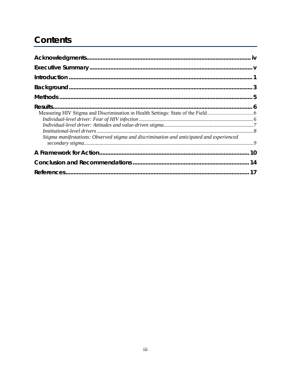# **Contents**

| Stigma manifestations: Observed stigma and discrimination and anticipated and experienced |  |
|-------------------------------------------------------------------------------------------|--|
|                                                                                           |  |
|                                                                                           |  |
|                                                                                           |  |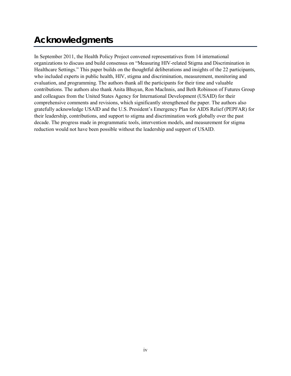# <span id="page-5-0"></span>**Acknowledgments**

In September 2011, the Health Policy Project convened representatives from 14 international organizations to discuss and build consensus on "Measuring HIV-related Stigma and Discrimination in Healthcare Settings." This paper builds on the thoughtful deliberations and insights of the 22 participants, who included experts in public health, HIV, stigma and discrimination, measurement, monitoring and evaluation, and programming. The authors thank all the participants for their time and valuable contributions. The authors also thank Anita Bhuyan, Ron MacInnis, and Beth Robinson of Futures Group and colleagues from the United States Agency for International Development (USAID) for their comprehensive comments and revisions, which significantly strengthened the paper. The authors also gratefully acknowledge USAID and the U.S. President's Emergency Plan for AIDS Relief (PEPFAR) for their leadership, contributions, and support to stigma and discrimination work globally over the past decade. The progress made in programmatic tools, intervention models, and measurement for stigma reduction would not have been possible without the leadership and support of USAID.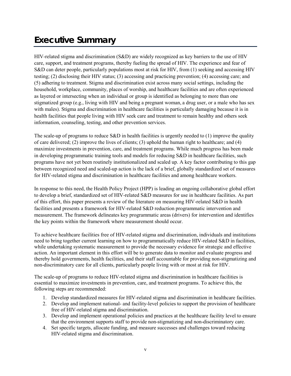# <span id="page-6-0"></span>**Executive Summary**

HIV-related stigma and discrimination (S&D) are widely recognized as key barriers to the use of HIV care, support, and treatment programs, thereby fueling the spread of HIV. The experience and fear of S&D can deter people, particularly populations most at risk for HIV, from (1) seeking and accessing HIV testing; (2) disclosing their HIV status; (3) accessing and practicing prevention; (4) accessing care; and (5) adhering to treatment. Stigma and discrimination exist across many social settings, including the household, workplace, community, places of worship, and healthcare facilities and are often experienced as layered or intersecting when an individual or group is identified as belonging to more than one stigmatized group (e.g., living with HIV and being a pregnant woman, a drug user, or a male who has sex with males). Stigma and discrimination in healthcare facilities is particularly damaging because it is in health facilities that people living with HIV seek care and treatment to remain healthy and others seek information, counseling, testing, and other prevention services.

The scale-up of programs to reduce S&D in health facilities is urgently needed to (1) improve the quality of care delivered; (2) improve the lives of clients; (3) uphold the human right to healthcare; and (4) maximize investments in prevention, care, and treatment programs. While much progress has been made in developing programmatic training tools and models for reducing S&D in healthcare facilities, such programs have not yet been routinely institutionalized and scaled up. A key factor contributing to this gap between recognized need and scaled-up action is the lack of a brief, globally standardized set of measures for HIV-related stigma and discrimination in healthcare facilities and among healthcare workers.

In response to this need, the Health Policy Project (HPP) is leading an ongoing collaborative global effort to develop a brief, standardized set of HIV-related S&D measures for use in healthcare facilities. As part of this effort, this paper presents a review of the literature on measuring HIV-related S&D in health facilities and presents a framework for HIV-related S&D reduction programmatic intervention and measurement. The framework delineates key programmatic areas (drivers) for intervention and identifies the key points within the framework where measurement should occur.

To achieve healthcare facilities free of HIV-related stigma and discrimination, individuals and institutions need to bring together current learning on how to programmatically reduce HIV-related S&D in facilities, while undertaking systematic measurement to provide the necessary evidence for strategic and effective action. An important element in this effort will be to generate data to monitor and evaluate progress and thereby hold governments, health facilities, and their staff accountable for providing non-stigmatizing and non-discriminatory care for all clients, particularly people living with or most at risk for HIV.

The scale-up of programs to reduce HIV-related stigma and discrimination in healthcare facilities is essential to maximize investments in prevention, care, and treatment programs. To achieve this, the following steps are recommended:

- 1. Develop standardized measures for HIV-related stigma and discrimination in healthcare facilities.
- 2. Develop and implement national- and facility-level policies to support the provision of healthcare free of HIV-related stigma and discrimination.
- 3. Develop and implement operational policies and practices at the healthcare facility level to ensure that the environment supports staff to provide non-stigmatizing and non-discriminatory care.
- 4. Set specific targets, allocate funding, and measure successes and challenges toward reducing HIV-related stigma and discrimination.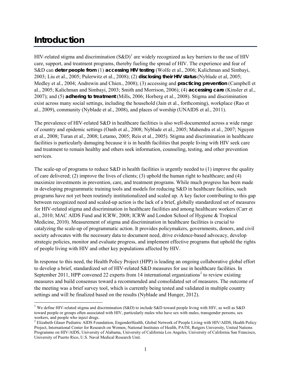# <span id="page-8-0"></span>**Introduction**

 $\overline{a}$ 

HIV-related stigma and discrimination  $(S&D)^1$  $(S&D)^1$  are widely recognized as key barriers to the use of HIV care, support, and treatment programs, thereby fueling the spread of HIV. The experience and fear of S&D can **deter people from** (1) **accessing HIV testing** (Wolfe et al., 2006; Kalichman and Simbayi, 2003; Liu et al., 2005; Pulerwitz et al., 2008); (2) **disclosing their HIV status** (Nyblade et al, 2005; Medley et al., 2004; Andrewin and Chien., 2008); (3) accessing and **practicing prevention** (Campbell et al., 2005; Kalichman and Simbayi, 2003; Smith and Morrison, 2006); (4) **accessing care** (Kinsler et al., 2007); and (5) **adhering to treatment** (Mills, 2006; Horberg et al., 2008). Stigma and discrimination exist across many social settings, including the household (Jain et al., forthcoming), workplace (Rao et al., 2009), community (Nyblade et al., 2008), and places of worship (UNAIDS et al., 2011).

The prevalence of HIV-related S&D in healthcare facilities is also well-documented across a wide range of country and epidemic settings (Oanh et al., 2008; Nyblade et al., 2005; Mahendra et al., 2007; Nguyen et al., 2008; Turan et al., 2008; Letamo, 2005; Reis et al., 2005). Stigma and discrimination in healthcare facilities is particularly damaging because it is in health facilities that people living with HIV seek care and treatment to remain healthy and others seek information, counseling, testing, and other prevention services.

The scale-up of programs to reduce  $S&D$  in health facilities is urgently needed to (1) improve the quality of care delivered; (2) improve the lives of clients; (3) uphold the human right to healthcare; and (4) maximize investments in prevention, care, and treatment programs. While much progress has been made in developing programmatic training tools and models for reducing S&D in healthcare facilities, such programs have not yet been routinely institutionalized and scaled up. A key factor contributing to this gap between recognized need and scaled-up action is the lack of a brief, globally standardized set of measures for HIV-related stigma and discrimination in healthcare facilities and among healthcare workers (Carr et al., 2010; MAC AIDS Fund and ICRW, 2008; ICRW and London School of Hygiene & Tropical Medicine, 2010). Measurement of stigma and discrimination in healthcare facilities is crucial to catalyzing the scale-up of programmatic action. It provides policymakers, governments, donors, and civil society advocates with the necessary data to document need, drive evidence-based advocacy, develop strategic policies, monitor and evaluate progress, and implement effective programs that uphold the rights of people living with HIV and other key populations affected by HIV.

In response to this need, the Health Policy Project (HPP) is leading an ongoing collaborative global effort to develop a brief, standardized set of HIV-related S&D measures for use in healthcare facilities. In September [2](#page-8-2)011, HPP convened 22 experts from 14 international organizations<sup>2</sup> to review existing measures and build consensus toward a recommended and consolidated set of measures. The outcome of the meeting was a brief survey tool, which is currently being tested and validated in multiple country settings and will be finalized based on the results (Nyblade and Hunger, 2012).

<span id="page-8-1"></span><sup>&</sup>lt;sup>1</sup> We define HIV-related stigma and discrimination (S&D) to include S&D toward people living with HIV, as well as S&D toward people or groups often associated with HIV, particularly males who have sex with males, transgender persons, sex workers, and people who inject drugs.

<span id="page-8-2"></span><sup>&</sup>lt;sup>2</sup> Elizabeth Glaser Pediatric AIDS Foundation, EngenderHealth, Global Network of People Living with HIV/AIDS, Health Policy Project, International Center for Research on Women, National Institutes of Health, PATH, Rutgers University, United Nations Programme on HIV/AIDS, University of Alabama, University of California Los Angeles, University of California San Francisco, University of Puerto Rico, U.S. Naval Medical Research Unit.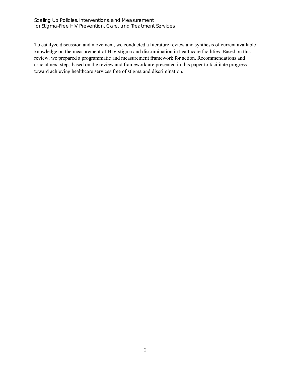Scaling Up Policies, Interventions, and Measurement for Stigma-Free HIV Prevention, Care, and Treatment Services

To catalyze discussion and movement, we conducted a literature review and synthesis of current available knowledge on the measurement of HIV stigma and discrimination in healthcare facilities. Based on this review, we prepared a programmatic and measurement framework for action. Recommendations and crucial next steps based on the review and framework are presented in this paper to facilitate progress toward achieving healthcare services free of stigma and discrimination.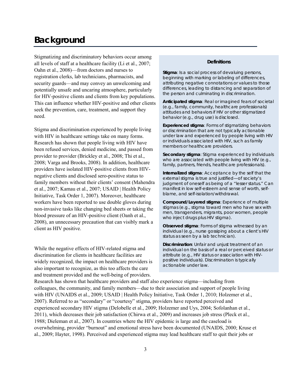# **Background**

Stigmatizing and discriminatory behaviors occur among all levels of staff at a healthcare facility (Li et al., 2007; Oahn et al., 2008)—from doctors and nurses to registration clerks, lab technicians, pharmacists, and security guards—and may convey an unwelcoming and potentially unsafe and uncaring atmosphere, particularly for HIV-positive clients and clients from key populations. This can influence whether HIV-positive and other clients seek the prevention, care, treatment, and support they need.

Stigma and discrimination experienced by people living with HIV in healthcare settings take on many forms. Research has shown that people living with HIV have been refused services, denied medicine, and passed from provider to provider (Brickley et al., 2008; Thi et al., 2008; Varga and Brooks, 2008). In addition, healthcare providers have isolated HIV-positive clients from HIVnegative clients and disclosed sero-positive status to family members without their clients' consent (Mahendra et al., 2007; Kamau et al., 2007; USAID | Health Policy Initiative, Task Order 1, 2007). Moreover, healthcare workers have been reported to use double gloves during non-invasive tasks like changing bed sheets or taking the blood pressure of an HIV-positive client (Oanh et al., 2008), an unnecessary precaution that can visibly mark a client as HIV positive.

While the negative effects of HIV-related stigma and discrimination for clients in healthcare facilities are widely recognized, the impact on healthcare providers is also important to recognize, as this too affects the care and treatment provided and the well-being of providers.

#### **Definitions**

**Stigma**: Is a social process of devaluing persons, beginning with marking or labeling of differences, attributing negative connotations or values to those differences, leading to distancing and separation of the person and culminating in discrimination.

**Anticipated stigma**: Real or imagined fears of societal (e.g., family, community, healthcare professionals) attitudes and behaviors if HIV or other stigmatized behavior (e.g., drug use) is disclosed.

**Experienced stigma**: Forms of stigmatizing behaviors or discrimination that are not typically actionable under law and experienced by people living with HIV or individuals associated with HIV, such as family members or healthcare providers.

**Secondary stigma**: Stigma experienced by individuals who are associated with people living with HIV (e.g., family, partners, friends, healthcare professionals).

**Internalized stigma**: Acceptance by the self that the external stigma is true and justified—of society's judgment of oneself as being of a "lesser status." Can manifest in low self-esteem and sense of worth, selfblame, and self-isolation/withdrawal.

**Compound/Layered stigma**: Experience of multiple stigmas (e.g., stigma toward men who have sex with men, transgenders, migrants, poor women, people who inject drugs plus HIV stigma).

**Observed stigma**: Forms of stigma witnessed by an individual (e.g., nurse gossiping about a client's HIV status as seen by a lab technician).

**Discrimination**: Unfair and unjust treatment of an individual on the basis of a real or perceived status or attribute (e.g., HIV status or association with HIVpositive individuals). Discrimination is typically actionable under law.

Research has shown that healthcare providers and staff also experience stigma—including from colleagues, the community, and family members—due to their association and support of people living with HIV (UNAIDS et al., 2009; USAID | Health Policy Initiative, Task Order 1, 2010; Holzemer et al., 2007). Referred to as "secondary" or "courtesy" stigma, providers have reported perceived and experienced secondary HIV stigma (Delobelle et al., 2009; Holzemer and Uys, 2004; Sofolanhan et al., 2011), which decreases their job satisfaction (Chirwa et al., 2009) and increases job stress (Pleck et al., 1988; Dieleman et al., 2007). In countries where the HIV epidemic is large and the caseload is overwhelming, provider "burnout" and emotional stress have been documented (UNAIDS, 2000; Kruse et al., 2009; Hayter, 1998). Perceived and experienced stigma may lead healthcare staff to quit their jobs or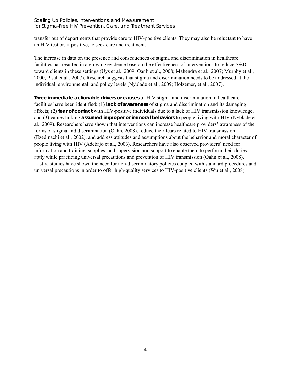transfer out of departments that provide care to HIV-positive clients. They may also be reluctant to have an HIV test or, if positive, to seek care and treatment.

The increase in data on the presence and consequences of stigma and discrimination in healthcare facilities has resulted in a growing evidence base on the effectiveness of interventions to reduce S&D toward clients in these settings (Uys et al., 2009; Oanh et al., 2008; Mahendra et al., 2007; Murphy et al., 2000, Pisal et al., 2007). Research suggests that stigma and discrimination needs to be addressed at the individual, environmental, and policy levels (Nyblade et al., 2009; Holzemer, et al., 2007).

**Three immediate actionable drivers or causes** of HIV stigma and discrimination in healthcare facilities have been identified: (1) **lack of awareness** of stigma and discrimination and its damaging affects; (2) **fear of contact** with HIV-positive individuals due to a lack of HIV transmission knowledge; and (3) values linking **assumed improper or immoral behaviors** to people living with HIV (Nyblade et al., 2009). Researchers have shown that interventions can increase healthcare providers' awareness of the forms of stigma and discrimination (Oahn, 2008), reduce their fears related to HIV transmission (Ezedinachi et al., 2002), and address attitudes and assumptions about the behavior and moral character of people living with HIV (Adebajo et al., 2003). Researchers have also observed providers' need for information and training, supplies, and supervision and support to enable them to perform their duties aptly while practicing universal precautions and prevention of HIV transmission (Oahn et al., 2008). Lastly, studies have shown the need for non-discriminatory policies coupled with standard procedures and universal precautions in order to offer high-quality services to HIV-positive clients (Wu et al., 2008).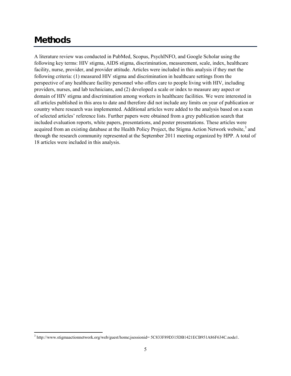# **Methods**

A literature review was conducted in PubMed, Scopus, PsychINFO, and Google Scholar using the following key terms: HIV stigma, AIDS stigma, discrimination, measurement, scale, index, healthcare facility, nurse, provider, and provider attitude. Articles were included in this analysis if they met the following criteria: (1) measured HIV stigma and discrimination in healthcare settings from the perspective of any healthcare facility personnel who offers care to people living with HIV, including providers, nurses, and lab technicians, and (2) developed a scale or index to measure any aspect or domain of HIV stigma and discrimination among workers in healthcare facilities. We were interested in all articles published in this area to date and therefore did not include any limits on year of publication or country where research was implemented. Additional articles were added to the analysis based on a scan of selected articles' reference lists. Further papers were obtained from a grey publication search that included evaluation reports, white papers, presentations, and poster presentations. These articles were acquired from an existing database at the Health Policy Project, the Stigma Action Network website,<sup>[3](#page-12-0)</sup> and through the research community represented at the September 2011 meeting organized by HPP. A total of 18 articles were included in this analysis.

<span id="page-12-0"></span> $\overline{a}$ <sup>3</sup> http://www.stigmaactionnetwork.org/web/guest/home;jsessionid= 5C833F89D315DB1421ECB951A86F634C.node1.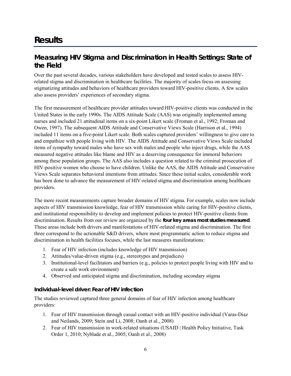# **Results**

# <span id="page-13-0"></span>**Measuring HIV Stigma and Discrimination in Health Settings: State of the Field**

Over the past several decades, various stakeholders have developed and tested scales to assess HIVrelated stigma and discrimination in healthcare facilities. The majority of scales focus on assessing stigmatizing attitudes and behaviors of healthcare providers toward HIV-positive clients. A few scales also assess providers' experiences of secondary stigma.

The first measurement of healthcare provider attitudes toward HIV-positive clients was conducted in the United States in the early 1990s. The AIDS Attitude Scale (AAS) was originally implemented among nurses and included 21 attitudinal items on a six-point Likert scale (Froman et al., 1992; Froman and Owen, 1997). The subsequent AIDS Attitude and Conservative Views Scale (Harrison et al., 1994) included 11 items on a five-point Likert scale. Both scales captured providers' willingness to give care to and empathize with people living with HIV. The AIDS Attitude and Conservative Views Scale included items of sympathy toward males who have sex with males and people who inject drugs, while the AAS measured negative attitudes like blame and HIV as a deserving consequence for immoral behaviors among these population groups. The AAS also includes a question related to the criminal prosecution of HIV-positive women who choose to have children. Unlike the AAS, the AIDS Attitude and Conservative Views Scale separates behavioral intentions from attitudes. Since these initial scales, considerable work has been done to advance the measurement of HIV-related stigma and discrimination among healthcare providers.

The more recent measurements capture broader domains of HIV stigma. For example, scales now include aspects of HIV transmission knowledge, fear of HIV transmission while caring for HIV-positive clients, and institutional responsibility to develop and implement policies to protect HIV-positive clients from discrimination. Results from our review are organized by the **four key areas most studies measured**. These areas include both drivers and manifestations of HIV-related stigma and discrimination. The first three correspond to the actionable S&D drivers, where most programmatic action to reduce stigma and discrimination in health facilities focuses, while the last measures manifestations:

- 1. Fear of HIV infection (includes knowledge of HIV transmission)
- 2. Attitudes/value-driven stigma (e.g., stereotypes and prejudices)
- 3. Institutional-level facilitators and barriers (e.g., policies to protect people living with HIV and to create a safe work environment)
- 4. Observed and anticipated stigma and discrimination, including secondary stigma

### <span id="page-13-1"></span>*Individual-level driver: Fear of HIV infection*

The studies reviewed captured three general domains of fear of HIV infection among healthcare providers:

- 1. Fear of HIV transmission through casual contact with an HIV-positive individual (Varas-Diaz and Neilands, 2009; Stein and Li, 2008; Oanh et al., 2008)
- 2. Fear of HIV transmission in work-related situations (USAID | Health Policy Initiative, Task Order 1, 2010; Nyblade et al., 2005; Oanh et al., 2008)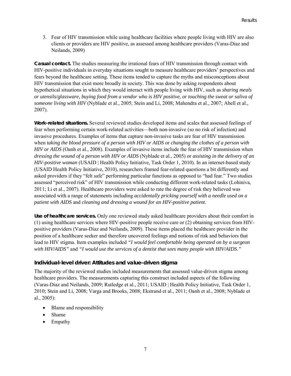3. Fear of HIV transmission while using healthcare facilities where people living with HIV are also clients or providers are HIV positive, as assessed among healthcare providers (Varas-Diaz and Neilands, 2009)

**Casual contact.** The studies measuring the irrational fears of HIV transmission through contact with HIV-positive individuals in everyday situations sought to measure healthcare providers' perspectives and fears beyond the healthcare setting. These items tended to capture the myths and misconceptions about HIV transmission that exist more broadly in society. This was done by asking respondents about hypothetical situations in which they would interact with people living with HIV, such as *sharing meals or utensils/glassware, buying food from a vendor who is HIV positive, or touching the sweat or saliva of someone living with HIV* (Nyblade et al., 2005; Stein and Li, 2008; Mahendra et al., 2007; Abell et al., 2007).

**Work-related situations.** Several reviewed studies developed items and scales that assessed feelings of fear when performing certain work-related activities—both non-invasive (so no risk of infection) and invasive procedures. Examples of items that capture non-invasive tasks are fear of HIV transmission when *taking the blood pressure of a person with HIV or AIDS* or *changing the clothes of a person with HIV or AIDS* (Oanh et al., 2008). Examples of invasive items include the fear of HIV transmission when *dressing the wound of a person with HIV or AIDS* (Nyblade et al., 2005) or *assisting in the delivery of an HIV-positive woman* (USAID | Health Policy Initiative, Task Order 1, 2010). In an internet-based study (USAID Health Policy Initiative, 2010), researchers framed fear-related questions a bit differently and asked providers if they "felt safe" performing particular functions as opposed to "had fear." Two studies assessed "perceived risk" of HIV transmission while conducting different work-related tasks (Lohiniva, 2011; Li et al., 2007). Healthcare providers were asked to rate the degree of risk they believed was associated with a range of statements including *accidentally pricking yourself with a needle used on a patient with AIDS* and *cleaning and dressing a wound for an HIV-positive patient*.

**Use of healthcare services.** Only one reviewed study asked healthcare providers about their comfort in (1) using healthcare services where HIV-positive people receive care or (2) obtaining services from HIVpositive providers (Varas-Diaz and Neilands, 2009). These items placed the healthcare provider in the position of a healthcare seeker and therefore uncovered feelings and notions of risk and behaviors that lead to HIV stigma. Item examples included *"I would feel comfortable being operated on by a surgeon with HIV/AIDS"* and *"I would use the services of a dentist that sees many people with HIV/AIDS*.*"*

### <span id="page-14-0"></span>*Individual-level driver: Attitudes and value-driven stigma*

The majority of the reviewed studies included measurements that assessed value-driven stigma among healthcare providers. The measurements capturing this construct included aspects of the following (Varas-Diaz and Neilands, 2009; Rutledge et al., 2011; USAID | Health Policy Initiative, Task Order 1, 2010; Stein and Li, 2008; Varga and Brooks, 2008; Ekstrand et al., 2011; Oanh et al., 2008; Nyblade et al., 2005):

- Blame and responsibility
- Shame
- Empathy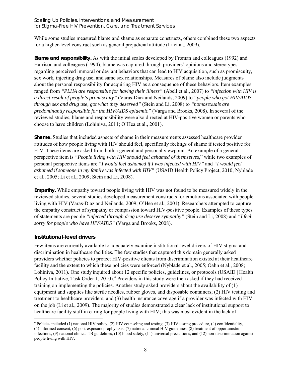While some studies measured blame and shame as separate constructs, others combined these two aspects for a higher-level construct such as general prejudicial attitude (Li et al., 2009).

**Blame and responsibility.** As with the initial scales developed by Froman and colleagues (1992) and Harrison and colleagues (1994), blame was captured through providers' opinions and stereotypes regarding perceived immoral or deviant behaviors that can lead to HIV acquisition, such as promiscuity, sex work, injecting drug use, and same sex relationships. Measures of blame also include judgments about the personal responsibility for acquiring HIV as a consequence of these behaviors. Item examples ranged from *"PLHA are responsible for having their illness"* (Abell et al., 2007) to *"infection with HIV is a direct result of people's promiscuity"* (Varas-Diaz and Neilands, 2009) to *"people who got HIV/AIDS through sex and drug use, got what they deserved"* (Stein and Li, 2008) to *"homosexuals are predominantly responsible for the HIV/AIDS epidemic"* (Varga and Brooks, 2008). In several of the reviewed studies, blame and responsibility were also directed at HIV-positive women or parents who choose to have children (Lohiniva, 2011; O'Hea et al., 2001).

**Shame.** Studies that included aspects of shame in their measurements assessed healthcare provider attitudes of how people living with HIV should feel, specifically feelings of shame if tested positive for HIV. These items are asked from both a general and personal viewpoint. An example of a general perspective item is *"People living with HIV should feel ashamed of themselves*," while two examples of personal perspective items are *"I would feel ashamed if I was infected with HIV"* and *"I would feel ashamed if someone in my family was infected with HIV"* (USAID Health Policy Project, 2010; Nyblade et al., 2005; Li et al., 2009; Stein and Li, 2008).

**Empathy.** While empathy toward people living with HIV was not found to be measured widely in the reviewed studies, several studies developed measurement constructs for emotions associated with people living with HIV (Varas-Diaz and Neilands, 2009; O'Hea et al., 2001). Researchers attempted to capture the empathy construct of sympathy or compassion toward HIV-positive people. Examples of these types of statements are people *"infected through drug use deserve sympathy"* (Stein and Li, 2008) and *"I feel sorry for people who have HIV/AIDS"* (Varga and Brooks, 2008).

## <span id="page-15-0"></span>*Institutional-level drivers*

Few items are currently available to adequately examine institutional-level drivers of HIV stigma and discrimination in healthcare facilities. The few studies that captured this domain generally asked providers whether policies to protect HIV-positive clients from discrimination existed at their healthcare facility and the extent to which these policies were enforced (Nyblade et al., 2005; Oahn et al., 2008; Lohiniva, 2011). One study inquired about 12 specific policies, guidelines, or protocols (USAID | Health Policy Initiative, Task Order 1, 2010).<sup>[4](#page-15-1)</sup> Providers in this study were then asked if they had received training on implementing the policies. Another study asked providers about the availability of (1) equipment and supplies like sterile needles, rubber gloves, and disposable containers; (2) HIV testing and treatment to healthcare providers; and (3) health insurance coverage if a provider was infected with HIV on the job (Li et al., 2009). The majority of studies demonstrated a clear lack of institutional support to healthcare facility staff in caring for people living with HIV; this was most evident in the lack of

<span id="page-15-1"></span> $\overline{a}$ <sup>4</sup> Policies included (1) national HIV policy, (2) HIV counseling and testing, (3) HIV testing procedure, (4) confidentiality, (5) informed consent, (6) post-exposure prophylaxis, (7) national clinical HIV guidelines, (8) treatment of opportunistic infections, (9) national clinical TB guidelines, (10) blood safety, (11) universal precautions, and (12) non-discrimination against people living with HIV.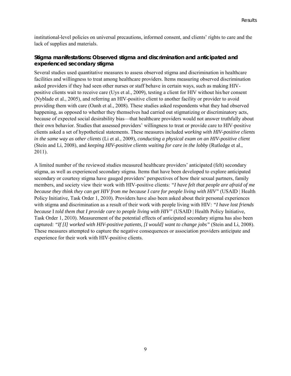institutional-level policies on universal precautions, informed consent, and clients' rights to care and the lack of supplies and materials.

### <span id="page-16-0"></span>*Stigma manifestations: Observed stigma and discrimination and anticipated and experienced secondary stigma*

Several studies used quantitative measures to assess observed stigma and discrimination in healthcare facilities and willingness to treat among healthcare providers. Items measuring observed discrimination asked providers if they had seen other nurses or staff behave in certain ways, such as making HIVpositive clients wait to receive care (Uys et al., 2009), testing a client for HIV without his/her consent (Nyblade et al., 2005), and referring an HIV-positive client to another facility or provider to avoid providing them with care (Oanh et al., 2008). These studies asked respondents what they had observed happening, as opposed to whether they themselves had carried out stigmatizing or discriminatory acts, because of expected social desirability bias—that healthcare providers would not answer truthfully about their own behavior. Studies that assessed providers' willingness to treat or provide care to HIV-positive clients asked a set of hypothetical statements. These measures included *working with HIV-positive clients in the same way as other clients* (Li et al., 2009), *conducting a physical exam on an HIV-positive client* (Stein and Li, 2008), and *keeping HIV-positive clients waiting for care in the lobby* (Rutledge et al., 2011).

A limited number of the reviewed studies measured healthcare providers' anticipated (felt) secondary stigma, as well as experienced secondary stigma. Items that have been developed to explore anticipated secondary or courtesy stigma have gauged providers' perspectives of how their sexual partners, family members, and society view their work with HIV-positive clients: *"I have felt that people are afraid of me because they think they can get HIV from me because I care for people living with HIV"* (USAID | Health Policy Initiative, Task Order 1, 2010)*.* Providers have also been asked about their personal experiences with stigma and discrimination as a result of their work with people living with HIV: *"I have lost friends because* I *told them that I provide care to people living with HIV*" (USAID | Health Policy Initiative, Task Order 1, 2010). Measurement of the potential effects of anticipated secondary stigma has also been captured: *"If [I] worked with HIV-positive patients, [I would] want to change jobs"* (Stein and Li, 2008). These measures attempted to capture the negative consequences or association providers anticipate and experience for their work with HIV-positive clients.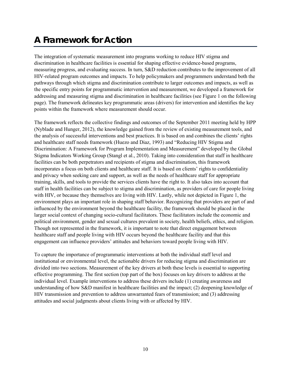# **A Framework for Action**

The integration of systematic measurement into programs working to reduce HIV stigma and discrimination in healthcare facilities is essential for shaping effective evidence-based programs, measuring progress, and evaluating success. In turn, S&D reduction contributes to the improvement of all HIV-related program outcomes and impacts. To help policymakers and programmers understand both the pathways through which stigma and discrimination contribute to larger outcomes and impacts, as well as the specific entry points for programmatic intervention and measurement, we developed a framework for addressing and measuring stigma and discrimination in healthcare facilities (see Figure 1 on the following page). The framework delineates key programmatic areas (drivers) for intervention and identifies the key points within the framework where measurement should occur.

The framework reflects the collective findings and outcomes of the September 2011 meeting held by HPP (Nyblade and Hunger, 2012), the knowledge gained from the review of existing measurement tools, and the analysis of successful interventions and best practices. It is based on and combines the clients' rights and healthcare staff needs framework (Huezo and Diaz, 1993) and "Reducing HIV Stigma and Discrimination: A Framework for Program Implementation and Measurement" developed by the Global Stigma Indicators Working Group (Stangl et al., 2010). Taking into consideration that staff in healthcare facilities can be both perpetrators and recipients of stigma and discrimination, this framework incorporates a focus on both clients and healthcare staff. It is based on clients' rights to confidentiality and privacy when seeking care and support, as well as the needs of healthcare staff for appropriate training, skills, and tools to provide the services clients have the right to. It also takes into account that staff in health facilities can be subject to stigma and discrimination, as providers of care for people living with HIV, or because they themselves are living with HIV. Lastly, while not depicted in Figure 1, the environment plays an important role in shaping staff behavior. Recognizing that providers are part of and influenced by the environment beyond the healthcare facility, the framework should be placed in the larger social context of changing socio-cultural facilitators. These facilitators include the economic and political environment, gender and sexual cultures prevalent in society, health beliefs, ethics, and religion. Though not represented in the framework, it is important to note that direct engagement between healthcare staff and people living with HIV occurs beyond the healthcare facility and that this engagement can influence providers' attitudes and behaviors toward people living with HIV.

To capture the importance of programmatic interventions at both the individual staff level and institutional or environmental level, the actionable drivers for reducing stigma and discrimination are divided into two sections. Measurement of the key drivers at both these levels is essential to supporting effective programming. The first section (top part of the box) focuses on key drivers to address at the individual level. Example interventions to address these drivers include (1) creating awareness and understanding of how S&D manifest in healthcare facilities and the impact; (2) deepening knowledge of HIV transmission and prevention to address unwarranted fears of transmission; and (3) addressing attitudes and social judgments about clients living with or affected by HIV.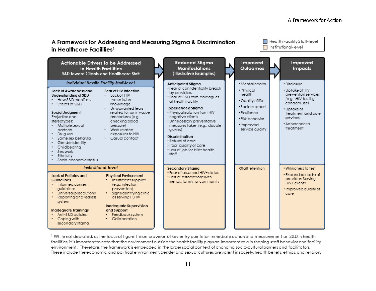

<sup>1</sup> While not depicted, as the focus of figure 1 is on provision of key entry points for immediate action and measurement on S&D in health facilities, it is important to note that the environment outside the health facility plays an important role in shaping staff behavior and facility environment. Therefore, the framework is embedded in the larger social context of changing socio-cultural barriers and facilitators. These include the economic and political environment, gender and sexual cultures prevalent in society, health beliefs, ethics, and religion.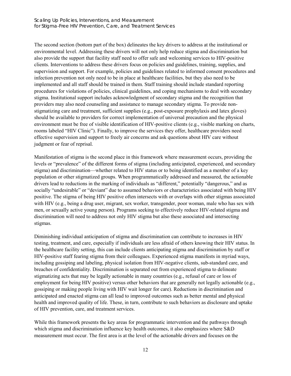The second section (bottom part of the box) delineates the key drivers to address at the institutional or environmental level. Addressing these drivers will not only help reduce stigma and discrimination but also provide the support that facility staff need to offer safe and welcoming services to HIV-positive clients. Interventions to address these drivers focus on policies and guidelines, training, supplies, and supervision and support. For example, policies and guidelines related to informed consent procedures and infection prevention not only need to be in place at healthcare facilities, but they also need to be implemented and all staff should be trained in them. Staff training should include standard reporting procedures for violations of policies, clinical guidelines, and coping mechanisms to deal with secondary stigma. Institutional support includes acknowledgment of secondary stigma and the recognition that providers may also need counseling and assistance to manage secondary stigma. To provide nonstigmatizing care and treatment, sufficient supplies (e.g., post-exposure prophylaxis and latex gloves) should be available to providers for correct implementation of universal precaution and the physical environment must be free of visible identification of HIV-positive clients (e.g., visible marking on charts, rooms labeled "HIV Clinic"). Finally, to improve the services they offer, healthcare providers need effective supervision and support to freely air concerns and ask questions about HIV care without judgment or fear of reprisal.

Manifestation of stigma is the second place in this framework where measurement occurs, providing the levels or "prevalence" of the different forms of stigma (including anticipated, experienced, and secondary stigma) and discrimination—whether related to HIV status or to being identified as a member of a key population or other stigmatized groups. When programmatically addressed and measured, the actionable drivers lead to reductions in the marking of individuals as "different," potentially "dangerous," and as socially "undesirable" or "deviant" due to assumed behaviors or characteristics associated with being HIV positive. The stigma of being HIV positive often intersects with or overlaps with other stigmas associated with HIV (e.g., being a drug user, migrant, sex worker, transgender, poor woman, male who has sex with men, or sexually active young person). Programs seeking to effectively reduce HIV-related stigma and discrimination will need to address not only HIV stigma but also these associated and intersecting stigmas.

Diminishing individual anticipation of stigma and discrimination can contribute to increases in HIV testing, treatment, and care, especially if individuals are less afraid of others knowing their HIV status. In the healthcare facility setting, this can include clients anticipating stigma and discrimination by staff or HIV-positive staff fearing stigma from their colleagues. Experienced stigma manifests in myriad ways, including gossiping and labeling, physical isolation from HIV-negative clients, sub-standard care, and breaches of confidentiality. Discrimination is separated out from experienced stigma to delineate stigmatizing acts that may be legally actionable in many countries (e.g., refusal of care or loss of employment for being HIV positive) versus other behaviors that are generally not legally actionable (e.g., gossiping or making people living with HIV wait longer for care). Reductions in discrimination and anticipated and enacted stigma can all lead to improved outcomes such as better mental and physical health and improved quality of life. These, in turn, contribute to such behaviors as disclosure and uptake of HIV prevention, care, and treatment services.

While this framework presents the key areas for programmatic intervention and the pathways through which stigma and discrimination influence key health outcomes, it also emphasizes where S&D measurement must occur. The first area is at the level of the actionable drivers and focuses on the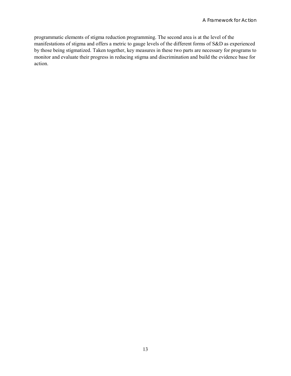programmatic elements of stigma reduction programming. The second area is at the level of the manifestations of stigma and offers a metric to gauge levels of the different forms of S&D as experienced by those being stigmatized. Taken together, key measures in these two parts are necessary for programs to monitor and evaluate their progress in reducing stigma and discrimination and build the evidence base for action.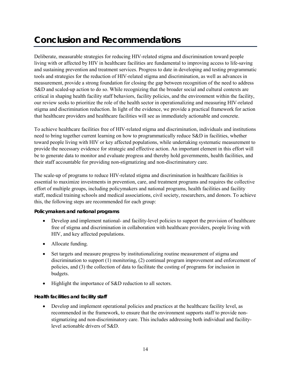# **Conclusion and Recommendations**

Deliberate, measurable strategies for reducing HIV-related stigma and discrimination toward people living with or affected by HIV in healthcare facilities are fundamental to improving access to life-saving and sustaining prevention and treatment services. Progress to date in developing and testing programmatic tools and strategies for the reduction of HIV-related stigma and discrimination, as well as advances in measurement, provide a strong foundation for closing the gap between recognition of the need to address S&D and scaled-up action to do so. While recognizing that the broader social and cultural contexts are critical in shaping health facility staff behaviors, facility policies, and the environment within the facility, our review seeks to prioritize the role of the health sector in operationalizing and measuring HIV-related stigma and discrimination reduction. In light of the evidence, we provide a practical framework for action that healthcare providers and healthcare facilities will see as immediately actionable and concrete.

To achieve healthcare facilities free of HIV-related stigma and discrimination, individuals and institutions need to bring together current learning on how to programmatically reduce S&D in facilities, whether toward people living with HIV or key affected populations, while undertaking systematic measurement to provide the necessary evidence for strategic and effective action. An important element in this effort will be to generate data to monitor and evaluate progress and thereby hold governments, health facilities, and their staff accountable for providing non-stigmatizing and non-discriminatory care.

The scale-up of programs to reduce HIV-related stigma and discrimination in healthcare facilities is essential to maximize investments in prevention, care, and treatment programs and requires the collective effort of multiple groups, including policymakers and national programs, health facilities and facility staff, medical training schools and medical associations, civil society, researchers, and donors. To achieve this, the following steps are recommended for each group:

### **Policymakers and national programs**

- Develop and implement national- and facility-level policies to support the provision of healthcare free of stigma and discrimination in collaboration with healthcare providers, people living with HIV, and key affected populations.
- Allocate funding.
- Set targets and measure progress by institutionalizing routine measurement of stigma and discrimination to support (1) monitoring, (2) continual program improvement and enforcement of policies, and (3) the collection of data to facilitate the costing of programs for inclusion in budgets.
- Highlight the importance of S&D reduction to all sectors.

### **Health facilities and facility staff**

• Develop and implement operational policies and practices at the healthcare facility level, as recommended in the framework, to ensure that the environment supports staff to provide nonstigmatizing and non-discriminatory care. This includes addressing both individual and facilitylevel actionable drivers of S&D.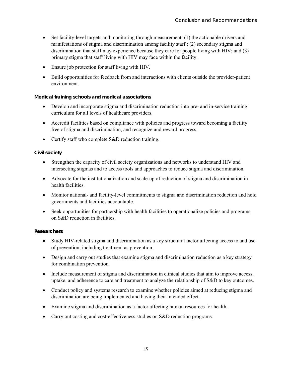- Set facility-level targets and monitoring through measurement: (1) the actionable drivers and manifestations of stigma and discrimination among facility staff ; (2) secondary stigma and discrimination that staff may experience because they care for people living with HIV; and (3) primary stigma that staff living with HIV may face within the facility.
- Ensure job protection for staff living with HIV.
- Build opportunities for feedback from and interactions with clients outside the provider-patient environment.

### **Medical training schools and medical associations**

- Develop and incorporate stigma and discrimination reduction into pre- and in-service training curriculum for all levels of healthcare providers.
- Accredit facilities based on compliance with policies and progress toward becoming a facility free of stigma and discrimination, and recognize and reward progress.
- Certify staff who complete S&D reduction training.

### **Civil society**

- Strengthen the capacity of civil society organizations and networks to understand HIV and intersecting stigmas and to access tools and approaches to reduce stigma and discrimination.
- Advocate for the institutionalization and scale-up of reduction of stigma and discrimination in health facilities.
- Monitor national- and facility-level commitments to stigma and discrimination reduction and hold governments and facilities accountable.
- Seek opportunities for partnership with health facilities to operationalize policies and programs on S&D reduction in facilities.

### **Researchers**

- Study HIV-related stigma and discrimination as a key structural factor affecting access to and use of prevention, including treatment as prevention.
- Design and carry out studies that examine stigma and discrimination reduction as a key strategy for combination prevention.
- Include measurement of stigma and discrimination in clinical studies that aim to improve access, uptake, and adherence to care and treatment to analyze the relationship of S&D to key outcomes.
- Conduct policy and systems research to examine whether policies aimed at reducing stigma and discrimination are being implemented and having their intended effect.
- Examine stigma and discrimination as a factor affecting human resources for health.
- Carry out costing and cost-effectiveness studies on S&D reduction programs.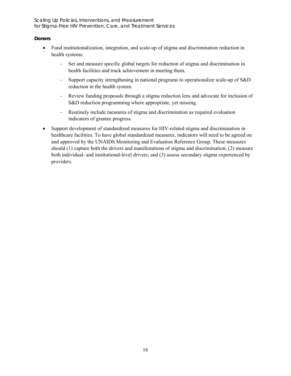Scaling Up Policies, Interventions, and Measurement for Stigma-Free HIV Prevention, Care, and Treatment Services

### **Donors**

- Fund institutionalization, integration, and scale-up of stigma and discrimination reduction in health systems:
	- Set and measure specific global targets for reduction of stigma and discrimination in health facilities and track achievement in meeting them.
	- Support capacity strengthening in national programs to operationalize scale-up of S&D reduction in the health system.
	- Review funding proposals through a stigma reduction lens and advocate for inclusion of S&D reduction programming where appropriate, yet missing.
	- Routinely include measures of stigma and discrimination as required evaluation indicators of grantee progress.
- Support development of standardized measures for HIV-related stigma and discrimination in healthcare facilities. To have global standardized measures, indicators will need to be agreed on and approved by the UNAIDS Monitoring and Evaluation Reference Group. These measures should (1) capture both the drivers and manifestations of stigma and discrimination; (2) measure both individual- and institutional-level drivers; and (3) assess secondary stigma experienced by providers.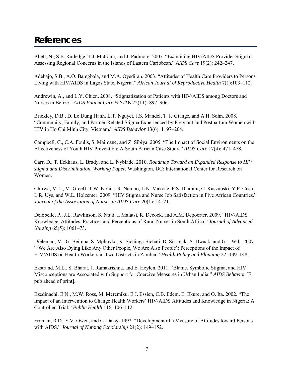# <span id="page-24-0"></span>**References**

Abell, N., S.E. Rutledge, T.J. McCann, and J. Padmore. 2007. "Examining HIV/AIDS Provider Stigma: Assessing Regional Concerns in the Islands of Eastern Caribbean." *AIDS Care* 19(2): 242–247.

Adebajo, S.B., A.O. Bamgbala, and M.A. Oyediran. 2003. "Attitudes of Health Care Providers to Persons Living with HIV/AIDS in Lagos State, Nigeria." *African Journal of Reproductive Health* 7(1):103–112.

Andrewin, A., and L.Y. Chien. 2008. "Stigmatization of Patients with HIV/AIDS among Doctors and Nurses in Belize." *AIDS Patient Care & STDs* 22(11): 897–906.

Brickley, D.B., D. Le Dung Hanh, L.T. Nguyet, J.S. Mandel, T. le Giange, and A.H. Sohn. 2008. "Community, Family, and Partner-Related Stigma Experienced by Pregnant and Postpartum Women with HIV in Ho Chi Minh City, Vietnam." *AIDS Behavior* 13(6): 1197–204.

Campbell, C., C.A. Foulis, S. Maimane, and Z. Sibiya. 2005. "The Impact of Social Environments on the Effectiveness of Youth HIV Prevention: A South African Case Study." *AIDS Care* 17(4): 471–478.

Carr, D., T. Eckhaus, L. Brady, and L. Nyblade. 2010. *Roadmap Toward an Expanded Response to HIV stigma and Discrimination. Working Paper.* Washington, DC: International Center for Research on Women.

Chirwa, M.L., M. Greeff, T.W. Kohi, J.R. Naidoo, L.N. Makoae, P.S. Dlamini, C. Kaszubski, Y.P. Cuca, L.R. Uys, and W.L. Holzemer. 2009. "HIV Stigma and Nurse Job Satisfaction in Five African Countries." *Journal of the Association of Nurses in AIDS Care* 20(1): 14–21.

Delobelle, P., J.L. Rawlinson, S. Ntuli, I. Malatsi, R. Decock, and A.M. Depoorter. 2009. "HIV/AIDS Knowledge, Attitudes, Practices and Perceptions of Rural Nurses in South Africa." *Journal of Advanced Nursing* 65(5): 1061–73.

Dieleman, M., G. Beimba, S. Mphuyka, K. Sichinga-Sichali, D. Sissolak, A. Dwaak, and G.J. Wilt. 2007. "'We Are Also Dying Like Any Other People, We Are Also People': Perceptions of the Impact of HIV/AIDS on Health Workers in Two Districts in Zambia." *Health Policy and Planning* 22: 139–148.

Ekstrand, M.L., S. Bharat, J. Ramakrishna, and E. Heylen. 2011. "Blame, Symbolic Stigma, and HIV Misconceptions are Associated with Support for Coercive Measures in Urban India." *AIDS Behavior* [E pub ahead of print].

Ezedinachi, E.N., M.W. Ross, M. Meremiku, E.J. Essien, C.B. Edem, E. Ekure, and O. Ita. 2002. "The Impact of an Intervention to Change Health Workers' HIV/AIDS Attitudes and Knowledge in Nigeria: A Controlled Trial." *Public Health* 116: 106–112.

Froman, R.D., S.V. Owen, and C. Daisy. 1992. "Development of a Measure of Attitudes toward Persons with AIDS." *Journal of Nursing Scholarship* 24(2): 149–152.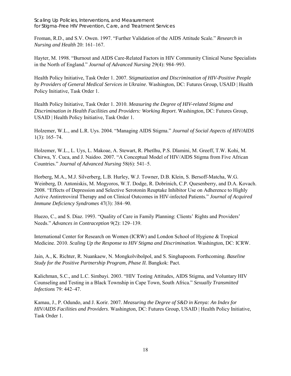Scaling Up Policies, Interventions, and Measurement for Stigma-Free HIV Prevention, Care, and Treatment Services

Froman, R.D., and S.V. Owen. 1997. "Further Validation of the AIDS Attitude Scale." *Research in Nursing and Health* 20: 161–167.

Hayter, M. 1998. "Burnout and AIDS Care-Related Factors in HIV Community Clinical Nurse Specialists in the North of England." *Journal of Advanced Nursing* 29(4): 984–993.

Health Policy Initiative, Task Order 1. 2007. *Stigmatization and Discrimination of HIV-Positive People by Providers of General Medical Services in Ukraine*. Washington, DC: Futures Group, USAID | Health Policy Initiative, Task Order 1.

Health Policy Initiative, Task Order 1. 2010. *Measuring the Degree of HIV-related Stigma and Discrimination in Health Facilities and Providers: Working Report*. Washington, DC: Futures Group, USAID | Health Policy Initiative, Task Order 1.

Holzemer, W.L., and L.R. Uys. 2004. "Managing AIDS Stigma." *Journal of Social Aspects of HIV/AIDS* 1(3): 165–74.

Holzemer, W.L., L. Uys, L. Makoae, A. Stewart, R. Phetlhu, P.S. Dlamini, M. Greeff, T.W. Kohi, M. Chirwa, Y. Cuca, and J. Naidoo. 2007. "A Conceptual Model of HIV/AIDS Stigma from Five African Countries." *Journal of Advanced Nursing* 58(6): 541–5.

Horberg, M.A., M.J. Silverberg, L.B. Hurley, W.J. Towner, D.B. Klein, S. Bersoff-Matcha, W.G. Weinberg, D. Antoniskis, M. Mogyoros, W.T. Dodge, R. Dobrinich, C.P. Quesenberry, and D.A. Kovach. 2008. "Effects of Depression and Selective Serotonin Reuptake Inhibitor Use on Adherence to Highly Active Antiretroviral Therapy and on Clinical Outcomes in HIV-infected Patients*.*" *Journal of Acquired Immune Deficiency Syndromes* 47(3): 384–90.

Huezo, C., and S. Diaz. 1993. "Quality of Care in Family Planning: Clients' Rights and Providers' Needs." *Advances in Contraception* 9(2): 129–139.

International Center for Research on Women (ICRW) and London School of Hygiene & Tropical Medicine. 2010. *Scaling Up the Response to HIV Stigma and Discrimination*. Washington, DC: ICRW.

Jain, A., K. Richter, R. Nuankaew, N. Mongkolvibolpol, and S. Singhapoom. Forthcoming. *Baseline Study for the Positive Partnership Program, Phase II.* Bangkok: Pact.

Kalichman, S.C., and L.C. Simbayi. 2003. "HIV Testing Attitudes, AIDS Stigma, and Voluntary HIV Counseling and Testing in a Black Township in Cape Town, South Africa." *Sexually Transmitted Infections* 79: 442–47.

Kamau, J., P. Odundo, and J. Korir. 2007*. Measuring the Degree of S&D in Kenya: An Index for HIV/AIDS Facilities and Providers*. Washington, DC: Futures Group, USAID | Health Policy Initiative, Task Order 1.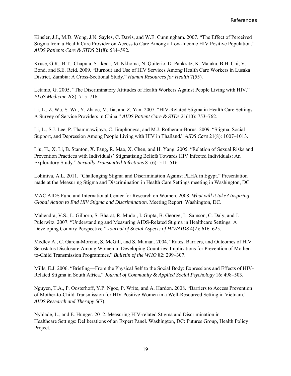Kinsler, J.J., M.D. Wong, J.N. Sayles, C. Davis, and W.E. Cunningham. 2007. "The Effect of Perceived Stigma from a Health Care Provider on Access to Care Among a Low-Income HIV Positive Population." *AIDS Patients Care & STDS* 21(8): 584–592.

Kruse, G.R., B.T.. Chapula, S. Ikeda, M. Nkhoma, N. Quiterio, D. Pankratz, K. Mataka, B.H. Chi, V. Bond, and S.E. Reid. 2009. "Burnout and Use of HIV Services Among Health Care Workers in Lusaka District, Zambia: A Cross-Sectional Study." *Human Resources for Health* 7(55).

Letamo, G. 2005. "The Discriminatory Attitudes of Health Workers Against People Living with HIV." *PLoS Medicine* 2(8): 715–716.

Li, L., Z. Wu, S. Wu, Y. Zhaoc, M. Jia, and Z. Yan. 2007. "HIV-Related Stigma in Health Care Settings: A Survey of Service Providers in China." *AIDS Patient Care & STDs* 21(10): 753–762.

Li, L., S.J. Lee, P. Thammawijaya, C. Jiraphongsa, and M.J. Rotheram-Borus. 2009. "Stigma, Social Support, and Depression Among People Living with HIV in Thailand." *AIDS Care* 21(8): 1007–1013.

Liu, H., X. Li, B. Stanton, X. Fang, R. Mao, X. Chen, and H. Yang. 2005. "Relation of Sexual Risks and Prevention Practices with Individuals' Stigmatising Beliefs Towards HIV Infected Individuals: An Exploratory Study." *Sexually Transmitted Infections* 81(6): 511–516.

Lohiniva, A.L. 2011. "Challenging Stigma and Discrimination Against PLHA in Egypt." Presentation made at the Measuring Stigma and Discrimination in Health Care Settings meeting in Washington, DC.

MAC AIDS Fund and International Center for Research on Women. 2008. *What will it take? Inspiring Global Action to End HIV Stigma and Discrimination*. Meeting Report. Washington, DC.

Mahendra, V.S., L. Gilborn, S. Bharat, R. Mudoi, I. Gupta, B. George, L. Samson, C. Daly, and J. Pulerwitz. 2007. "Understanding and Measuring AIDS-Related Stigma in Healthcare Settings: A Developing Country Perspective." *Journal of Social Aspects of HIV/AIDS* 4(2): 616–625.

Medley A., C. Garcia-Moreno, S. McGill, and S. Maman. 2004. "Rates, Barriers, and Outcomes of HIV Serostatus Disclosure Among Women in Developing Countries: Implications for Prevention of Motherto-Child Transmission Programmes." *Bulletin of the WHO* 82: 299–307.

Mills, E.J. 2006. "Briefing—From the Physical Self to the Social Body: Expressions and Effects of HIV-Related Stigma in South Africa." *Journal of Community & Applied Social Psychology* 16: 498–503.

Nguyen, T.A., P. Oosterhoff, Y.P. Ngoc, P. Write, and A. Hardon. 2008. "Barriers to Access Prevention of Mother-to-Child Transmission for HIV Positive Women in a Well-Resourced Setting in Vietnam." *AIDS Research and Therapy* 5(7).

Nyblade, L., and E. Hunger. 2012. Measuring HIV-related Stigma and Discrimination in Healthcare Settings: Deliberations of an Expert Panel. Washington, DC: Futures Group, Health Policy Project.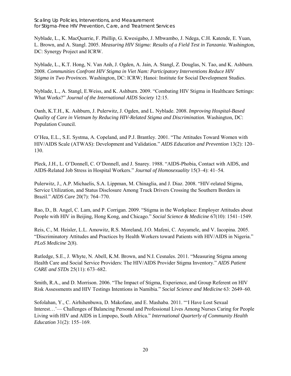Scaling Up Policies, Interventions, and Measurement for Stigma-Free HIV Prevention, Care, and Treatment Services

Nyblade, L., K. MacQuarrie, F. Phillip, G. Kwesigabo, J. Mbwambo, J. Ndega, C.H. Katende, E. Yuan, L. Brown, and A. Stangl. 2005. *Measuring HIV Stigma: Results of a Field Test in Tanzania*. Washington, DC: Synergy Project and ICRW.

Nyblade, L., K.T. Hong, N. Van Anh, J. Ogden, A. Jain, A. Stangl, Z. Douglas, N. Tao, and K. Ashburn. 2008. *Communities Confront HIV Stigma in Viet Nam: Participatory Interventions Reduce HIV Stigma in Two Provinces*. Washington, DC: ICRW; Hanoi: Institute for Social Development Studies.

Nyblade, L., A. Stangl, E.Weiss, and K. Ashburn. 2009. "Combating HIV Stigma in Healthcare Settings: What Works?" *Journal of the International AIDS Society* 12:15.

Oanh, K.T.H., K. Ashburn, J. Pulerwitz, J. Ogden, and L. Nyblade. 2008. *Improving Hospital-Based Quality of Care in Vietnam by Reducing HIV-Related Stigma and Discrimination.* Washington, DC: Population Council.

O'Hea, E.L., S.E. Systma, A. Copeland, and P.J. Brantley. 2001. "The Attitudes Toward Women with HIV/AIDS Scale (ATWAS): Development and Validation." *AIDS Education and Prevention* 13(2): 120– 130.

Pleck, J.H., L. O'Donnell, C. O'Donnell, and J. Snarey. 1988. "AIDS-Phobia, Contact with AIDS, and AIDS-Related Job Stress in Hospital Workers." *Journal of Homosexuality* 15(3–4): 41–54.

Pulerwitz, J., A.P. Michaelis, S.A. Lippman, M. Chinaglia, and J. Diaz. 2008. "HIV-related Stigma, Service Utilization, and Status Disclosure Among Truck Drivers Crossing the Southern Borders in Brazil." *AIDS Care* 20(7): 764–770.

Rao, D., B. Angel, C. Lam, and P. Corrigan. 2009. "Stigma in the Workplace: Employer Attitudes about People with HIV in Beijing, Hong Kong, and Chicago." *Social Science & Medicine* 67(10): 1541–1549.

Reis, C., M. Heisler, L.L. Amowitz, R.S. Moreland, J.O. Mafeni, C. Anyamele, and V. Iacopina. 2005. "Discriminatory Attitudes and Practices by Health Workers toward Patients with HIV/AIDS in Nigeria." *PLoS Medicine* 2(8).

Rutledge, S.E., J. Whyte, N. Abell, K.M. Brown, and N.I. Cesnales. 2011. "Measuring Stigma among Health Care and Social Service Providers: The HIV/AIDS Provider Stigma Inventory." *AIDS Patient CARE and STDs* 25(11): 673–682.

Smith, R.A., and D. Morrison. 2006. "The Impact of Stigma, Experience, and Group Referent on HIV Risk Assessments and HIV Testings Intentions in Namibia." *Social Science and Medicine* 63: 2649–60.

Sofolahan, Y., C. Airhihenbuwa, D. Makofane, and E. Mashaba. 2011. "'I Have Lost Sexual Interest…'— Challenges of Balancing Personal and Professional Lives Among Nurses Caring for People Living with HIV and AIDS in Limpopo, South Africa." *International Quarterly of Community Health Education* 31(2): 155–169.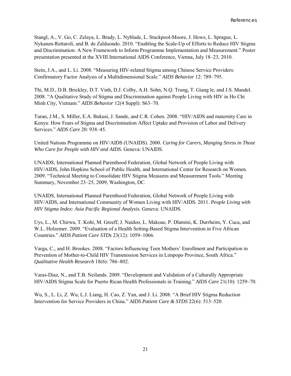Stangl, A., V. Go, C. Zelaya, L. Brady, L. Nyblade, L. Stackpool-Moore, J. Hows, L. Sprague, L. Nykanen-Rettaroli, and B. de Zalduondo. 2010. "Enabling the Scale-Up of Efforts to Reduce HIV Stigma and Discrimination: A New Framework to Inform Programme Implementation and Measurement." Poster presentation presented at the XVIII International AIDS Conference, Vienna, July 18–23, 2010.

Stein, J.A., and L. Li. 2008. "Measuring HIV-related Stigma among Chinese Service Providers: Confirmatory Factor Analysis of a Multidimensional Scale." *AIDS Behavior* 12: 789–795.

Thi, M.D., D.B. Brickley, D.T. Vinh, D.J. Colby, A.H. Sohn, N.Q. Trung, T. Giang le, and J.S. Mandel. 2008. "A Qualitative Study of Stigma and Discrimination against People Living with HIV in Ho Chi Minh City, Vietnam." *AIDS Behavior* 12(4 Suppl): S63–70.

Turan, J.M., S. Miller, E.A. Bukusi, J. Sande, and C.R. Cohen. 2008. "HIV/AIDS and maternity Care in Kenya: How Fears of Stigma and Discrimination Affect Uptake and Provision of Labor and Delivery Services." *AIDS Care* 20: 938–45.

United Nations Programme on HIV/AIDS (UNAIDS). 2000. *Caring for Carers, Manging Stress in Those Who Care for People with HIV and AIDS.* Geneva: UNAIDS.

UNAIDS, International Planned Parenthood Federation, Global Network of People Living with HIV/AIDS, John Hopkins School of Public Health, and International Center for Research on Women. 2009. "Technical Meeting to Consolidate HIV Stigma Measures and Measurement Tools." Meeting Summary, November 23–25, 2009, Washington, DC.

UNAIDS, International Planned Parenthood Federation, Global Network of People Living with HIV/AIDS, and International Community of Women Living with HIV/AIDS. 2011. *People Living with HIV Stigma Index: Asia Pacific Regional Analysis.* Geneva: UNAIDS.

Uys, L., M. Chirwa, T. Kohi, M. Greeff, J. Naidoo, L. Makoae, P. Dlamini, K. Durrheim, Y. Cuca, and W.L. Holzemer. 2009. "Evaluation of a Health Setting-Based Stigma Intervention in Five African Countries." *AIDS Patient Care STDs* 23(12): 1059–1066.

Varga, C., and H. Brookes. 2008. "Factors Influencing Teen Mothers' Enrollment and Participation in Prevention of Mother-to-Child HIV Transmission Services in Limpopo Province, South Africa." *Qualitative Health Research* 18(6): 786–802.

Varas-Diaz, N., and T.B. Neilands. 2009. "Development and Validation of a Culturally Appropriate HIV/AIDS Stigma Scale for Puerto Rican Health Professionals in Training." *AIDS Care* 21(10): 1259–70.

Wu, S., L. Li, Z. Wu, L.J. Liang, H. Cao, Z. Yan, and J. Li. 2008. "A Brief HIV Stigma Reduction Intervention for Service Providers in China." *AIDS Patient Care & STDS* 22(6): 513–520.